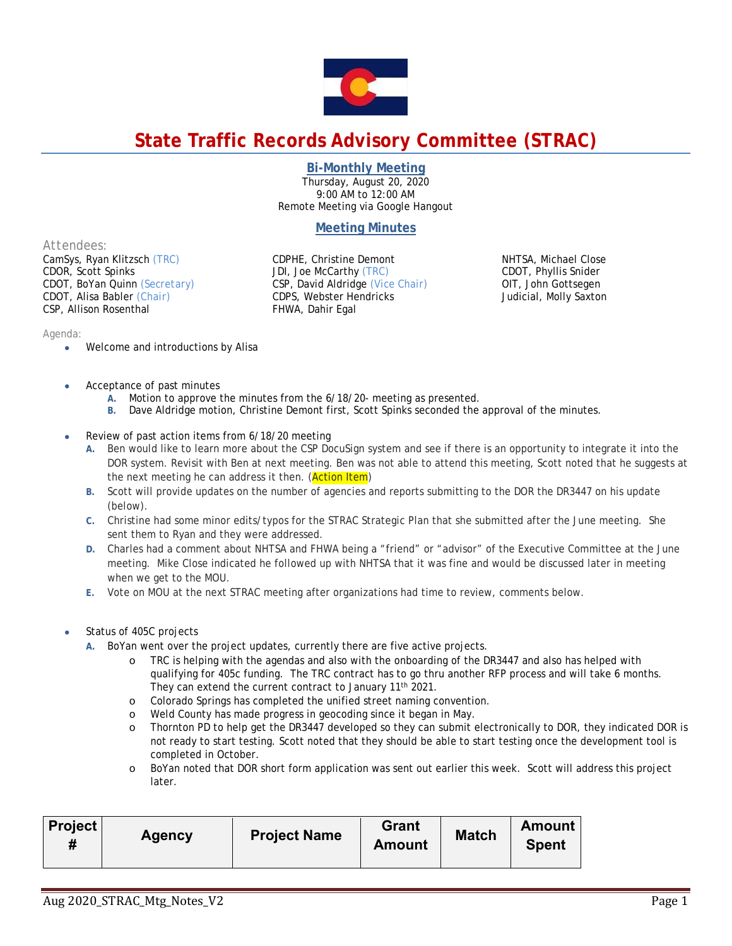

# **State Traffic Records Advisory Committee (STRAC)**

**Bi-Monthly Meeting** 

Thursday, August 20, 2020 9:00 AM to 12:00 AM Remote Meeting via Google Hangout

## **Meeting Minutes**

*Attendees:* 

CamSys, Ryan Klitzsch *(TRC)*  CDOR, Scott Spinks CDOT, BoYan Quinn *(Secretary)* CDOT, Alisa Babler *(Chair)* CSP, Allison Rosenthal

CDPHE, Christine Demont JDI, Joe McCarthy *(TRC)*  CSP, David Aldridge *(Vice Chair)* CDPS, Webster Hendricks FHWA, Dahir Egal

NHTSA, Michael Close CDOT, Phyllis Snider OIT, John Gottsegen Judicial, Molly Saxton

#### *Agenda:*

- Welcome and introductions by Alisa
- Acceptance of past minutes
	- **A.** Motion to approve the minutes from the 6/18/20- meeting as presented.
	- **B.** Dave Aldridge motion, Christine Demont first, Scott Spinks seconded the approval of the minutes.
- Review of past action items from 6/18/20 meeting
	- **A.** Ben would like to learn more about the CSP DocuSign system and see if there is an opportunity to integrate it into the DOR system. Revisit with Ben at next meeting. Ben was not able to attend this meeting, Scott noted that he suggests at the next meeting he can address it then. (Action Item)
	- **B.** Scott will provide updates on the number of agencies and reports submitting to the DOR the DR3447 on his update (below).
	- **C.** Christine had some minor edits/typos for the STRAC Strategic Plan that she submitted after the June meeting. She sent them to Ryan and they were addressed.
	- **D.** Charles had a comment about NHTSA and FHWA being a "friend" or "advisor" of the Executive Committee at the June meeting. Mike Close indicated he followed up with NHTSA that it was fine and would be discussed later in meeting when we get to the MOU.
	- **E.** Vote on MOU at the next STRAC meeting after organizations had time to review, comments below.
- Status of 405C projects
	- **A.** BoYan went over the project updates, currently there are five active projects.
		- o TRC is helping with the agendas and also with the onboarding of the DR3447 and also has helped with qualifying for 405c funding. The TRC contract has to go thru another RFP process and will take 6 months. They can extend the current contract to January 11<sup>th</sup> 2021.
		- o Colorado Springs has completed the unified street naming convention.
		- o Weld County has made progress in geocoding since it began in May.
		- o Thornton PD to help get the DR3447 developed so they can submit electronically to DOR, they indicated DOR is not ready to start testing. Scott noted that they should be able to start testing once the development tool is completed in October.
		- o BoYan noted that DOR short form application was sent out earlier this week. Scott will address this project later.

| <b>Project</b><br><b>Agency</b> | <b>Project Name</b> | Grant<br><b>Amount</b> | <b>Match</b> | Amount<br><b>Spent</b> |
|---------------------------------|---------------------|------------------------|--------------|------------------------|
|---------------------------------|---------------------|------------------------|--------------|------------------------|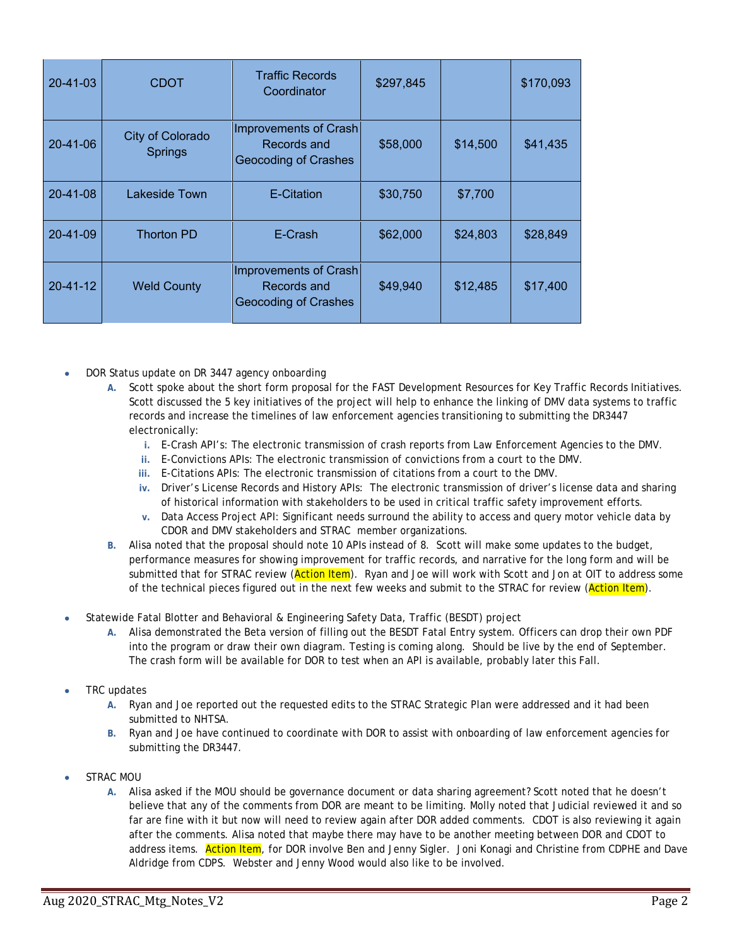| $20 - 41 - 03$ | <b>CDOT</b>                        | <b>Traffic Records</b><br>Coordinator                        | \$297,845 |          | \$170,093 |
|----------------|------------------------------------|--------------------------------------------------------------|-----------|----------|-----------|
| $20 - 41 - 06$ | City of Colorado<br><b>Springs</b> | Improvements of Crash<br>Records and<br>Geocoding of Crashes | \$58,000  | \$14,500 | \$41,435  |
| $20 - 41 - 08$ | Lakeside Town                      | E-Citation                                                   | \$30,750  | \$7,700  |           |
| $20 - 41 - 09$ | <b>Thorton PD</b>                  | E-Crash                                                      | \$62,000  | \$24,803 | \$28,849  |
| $20 - 41 - 12$ | <b>Weld County</b>                 | Improvements of Crash<br>Records and<br>Geocoding of Crashes | \$49,940  | \$12,485 | \$17,400  |

- DOR Status update on DR 3447 agency onboarding
	- **A.** Scott spoke about the short form proposal for the FAST Development Resources for Key Traffic Records Initiatives. Scott discussed the 5 key initiatives of the project will help to enhance the linking of DMV data systems to traffic records and increase the timelines of law enforcement agencies transitioning to submitting the DR3447 electronically:
		- **i.** E-Crash API's: The electronic transmission of crash reports from Law Enforcement Agencies to the DMV.
		- **ii.** E-Convictions APIs: The electronic transmission of convictions from a court to the DMV.
		- **iii.** E-Citations APIs: The electronic transmission of citations from a court to the DMV.
		- **iv.** Driver's License Records and History APIs: The electronic transmission of driver's license data and sharing of historical information with stakeholders to be used in critical traffic safety improvement efforts.
		- **v.** Data Access Project API: Significant needs surround the ability to access and query motor vehicle data by CDOR and DMV stakeholders and STRAC member organizations.
	- **B.** Alisa noted that the proposal should note 10 APIs instead of 8. Scott will make some updates to the budget, performance measures for showing improvement for traffic records, and narrative for the long form and will be submitted that for STRAC review (**Action Item**). Ryan and Joe will work with Scott and Jon at OIT to address some of the technical pieces figured out in the next few weeks and submit to the STRAC for review (Action Item).
- Statewide Fatal Blotter and Behavioral & Engineering Safety Data, Traffic (BESDT) project
	- **A.** Alisa demonstrated the Beta version of filling out the BESDT Fatal Entry system. Officers can drop their own PDF into the program or draw their own diagram. Testing is coming along. Should be live by the end of September. The crash form will be available for DOR to test when an API is available, probably later this Fall.
- TRC updates
	- **A.** Ryan and Joe reported out the requested edits to the STRAC Strategic Plan were addressed and it had been submitted to NHTSA.
	- **B.** Ryan and Joe have continued to coordinate with DOR to assist with onboarding of law enforcement agencies for submitting the DR3447.
- STRAC MOU
	- **A.** Alisa asked if the MOU should be governance document or data sharing agreement? Scott noted that he doesn't believe that any of the comments from DOR are meant to be limiting. Molly noted that Judicial reviewed it and so far are fine with it but now will need to review again after DOR added comments. CDOT is also reviewing it again after the comments. Alisa noted that maybe there may have to be another meeting between DOR and CDOT to address items. Action Item, for DOR involve Ben and Jenny Sigler. Joni Konagi and Christine from CDPHE and Dave Aldridge from CDPS. Webster and Jenny Wood would also like to be involved.